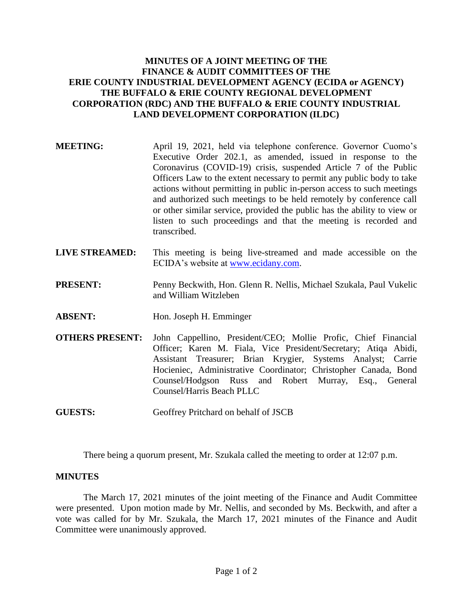## **MINUTES OF A JOINT MEETING OF THE FINANCE & AUDIT COMMITTEES OF THE ERIE COUNTY INDUSTRIAL DEVELOPMENT AGENCY (ECIDA or AGENCY) THE BUFFALO & ERIE COUNTY REGIONAL DEVELOPMENT CORPORATION (RDC) AND THE BUFFALO & ERIE COUNTY INDUSTRIAL LAND DEVELOPMENT CORPORATION (ILDC)**

- **MEETING:** April 19, 2021, held via telephone conference. Governor Cuomo's Executive Order 202.1, as amended, issued in response to the Coronavirus (COVID-19) crisis, suspended Article 7 of the Public Officers Law to the extent necessary to permit any public body to take actions without permitting in public in-person access to such meetings and authorized such meetings to be held remotely by conference call or other similar service, provided the public has the ability to view or listen to such proceedings and that the meeting is recorded and transcribed.
- **LIVE STREAMED:** This meeting is being live-streamed and made accessible on the ECIDA's website at [www.ecidany.com.](http://www.ecidany.com/)
- **PRESENT:** Penny Beckwith, Hon. Glenn R. Nellis, Michael Szukala, Paul Vukelic and William Witzleben
- **ABSENT:** Hon. Joseph H. Emminger
- **OTHERS PRESENT:** John Cappellino, President/CEO; Mollie Profic, Chief Financial Officer; Karen M. Fiala, Vice President/Secretary; Atiqa Abidi, Assistant Treasurer; Brian Krygier, Systems Analyst; Carrie Hocieniec, Administrative Coordinator; Christopher Canada, Bond Counsel/Hodgson Russ and Robert Murray, Esq., General Counsel/Harris Beach PLLC
- **GUESTS:** Geoffrey Pritchard on behalf of JSCB

There being a quorum present, Mr. Szukala called the meeting to order at 12:07 p.m.

## **MINUTES**

The March 17, 2021 minutes of the joint meeting of the Finance and Audit Committee were presented. Upon motion made by Mr. Nellis, and seconded by Ms. Beckwith, and after a vote was called for by Mr. Szukala, the March 17, 2021 minutes of the Finance and Audit Committee were unanimously approved.